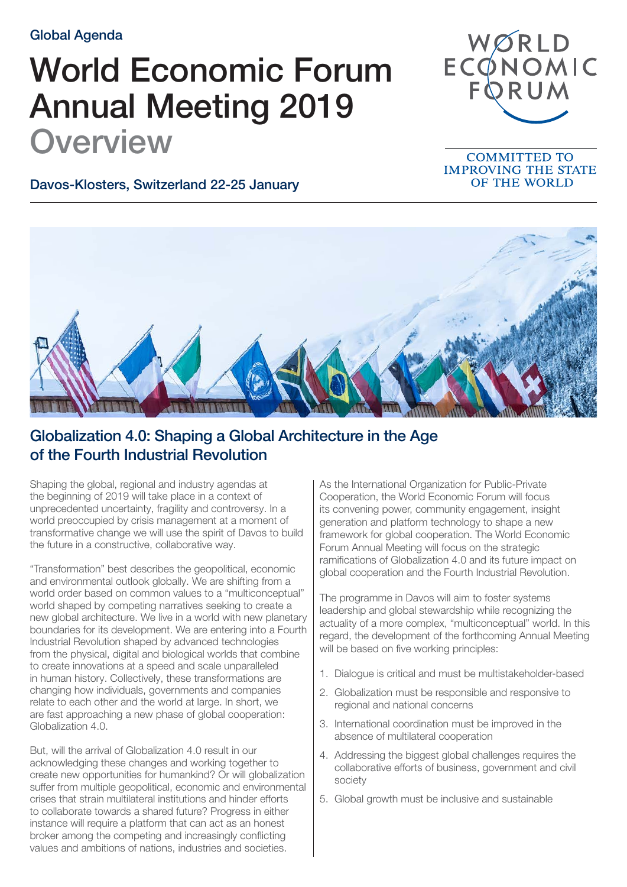Global Agenda

## World Economic Forum Annual Meeting 2019 **Overview**



## **COMMITTED TO IMPROVING THE STATE** OF THE WORLD

Davos-Klosters, Switzerland 22-25 January



## Globalization 4.0: Shaping a Global Architecture in the Age of the Fourth Industrial Revolution

Shaping the global, regional and industry agendas at the beginning of 2019 will take place in a context of unprecedented uncertainty, fragility and controversy. In a world preoccupied by crisis management at a moment of transformative change we will use the spirit of Davos to build the future in a constructive, collaborative way.

"Transformation" best describes the geopolitical, economic and environmental outlook globally. We are shifting from a world order based on common values to a "multiconceptual" world shaped by competing narratives seeking to create a new global architecture. We live in a world with new planetary boundaries for its development. We are entering into a Fourth Industrial Revolution shaped by advanced technologies from the physical, digital and biological worlds that combine to create innovations at a speed and scale unparalleled in human history. Collectively, these transformations are changing how individuals, governments and companies relate to each other and the world at large. In short, we are fast approaching a new phase of global cooperation: Globalization 4.0.

But, will the arrival of Globalization 4.0 result in our acknowledging these changes and working together to create new opportunities for humankind? Or will globalization suffer from multiple geopolitical, economic and environmental crises that strain multilateral institutions and hinder efforts to collaborate towards a shared future? Progress in either instance will require a platform that can act as an honest broker among the competing and increasingly conflicting values and ambitions of nations, industries and societies.

As the International Organization for Public-Private Cooperation, the World Economic Forum will focus its convening power, community engagement, insight generation and platform technology to shape a new framework for global cooperation. The World Economic Forum Annual Meeting will focus on the strategic ramifications of Globalization 4.0 and its future impact on global cooperation and the Fourth Industrial Revolution.

The programme in Davos will aim to foster systems leadership and global stewardship while recognizing the actuality of a more complex, "multiconceptual" world. In this regard, the development of the forthcoming Annual Meeting will be based on five working principles:

- 1. Dialogue is critical and must be multistakeholder-based
- 2. Globalization must be responsible and responsive to regional and national concerns
- 3. International coordination must be improved in the absence of multilateral cooperation
- 4. Addressing the biggest global challenges requires the collaborative efforts of business, government and civil society
- 5. Global growth must be inclusive and sustainable